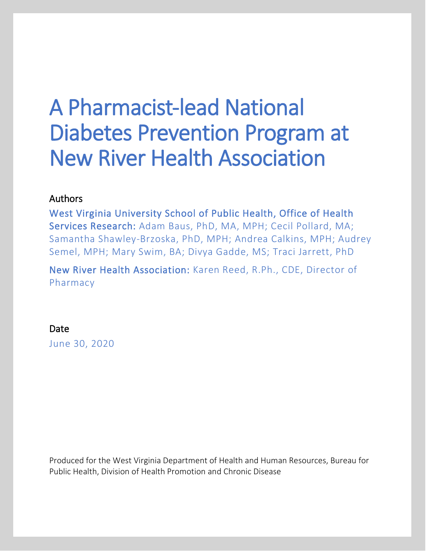# A Pharmacist-lead National Diabetes Prevention Program at New River Health Association

### Authors

West Virginia University School of Public Health, Office of Health Services Research: Adam Baus, PhD, MA, MPH; Cecil Pollard, MA; Samantha Shawley-Brzoska, PhD, MPH; Andrea Calkins, MPH; Audrey Semel, MPH; Mary Swim, BA; Divya Gadde, MS; Traci Jarrett, PhD

New River Health Association: Karen Reed, R.Ph., CDE, Director of Pharmacy

#### Date

June 30, 2020

Produced for the West Virginia Department of Health and Human Resources, Bureau for Public Health, Division of Health Promotion and Chronic Disease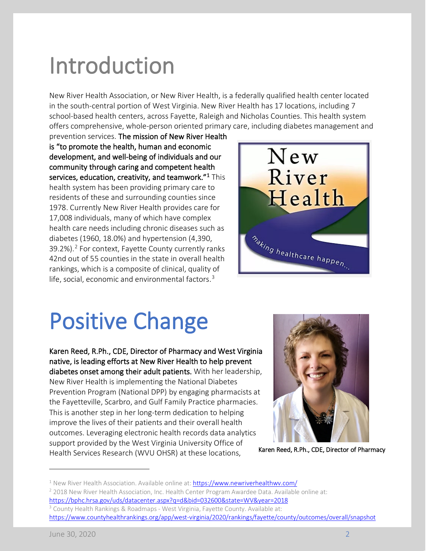# Introduction

New River Health Association, or New River Health, is a federally qualified health center located in the south-central portion of West Virginia. New River Health has 17 locations, including 7 school-based health centers, across Fayette, Raleigh and Nicholas Counties. This health system offers comprehensive, whole-person oriented primary care, including diabetes management and

prevention services. The mission of New River Health is "to promote the health, human and economic development, and well-being of individuals and our community through caring and competent health services, education, creativity, and teamwork. $"^{1}$  $"^{1}$  $"^{1}$ This health system has been providing primary care to residents of these and surrounding counties since 1978. Currently New River Health provides care for 17,008 individuals, many of which have complex health care needs including chronic diseases such as diabetes (1960, 18.0%) and hypertension (4,390, 39.[2](#page-1-1)%).<sup>2</sup> For context, Fayette County currently ranks 42nd out of 55 counties in the state in overall health rankings, which is a composite of clinical, quality of life, social, economic and environmental factors. $3$ 



# Positive Change<br>Karen Reed, R.Ph., CDE, Director of Pharmacy and West Virginia

native, is leading efforts at New River Health to help prevent diabetes onset among their adult patients. With her leadership, New River Health is implementing the National Diabetes Prevention Program (National DPP) by engaging pharmacists at the Fayetteville, Scarbro, and Gulf Family Practice pharmacies. This is another step in her long-term dedication to helping improve the lives of their patients and their overall health outcomes. Leveraging electronic health records data analytics support provided by the West Virginia University Office of Health Services Research (WVU OHSR) at these locations,



Karen Reed, R.Ph., CDE, Director of Pharmacy

<span id="page-1-0"></span> $1$  New River Health Association. Available online at[: https://www.newriverhealthwv.com/](https://www.newriverhealthwv.com/)

<span id="page-1-1"></span><sup>&</sup>lt;sup>2</sup> 2018 New River Health Association, Inc. Health Center Program Awardee Data. Available online at: <https://bphc.hrsa.gov/uds/datacenter.aspx?q=d&bid=032600&state=WV&year=2018>

<span id="page-1-2"></span><sup>&</sup>lt;sup>3</sup> County Health Rankings & Roadmaps - West Virginia, Fayette County. Available at: <https://www.countyhealthrankings.org/app/west-virginia/2020/rankings/fayette/county/outcomes/overall/snapshot>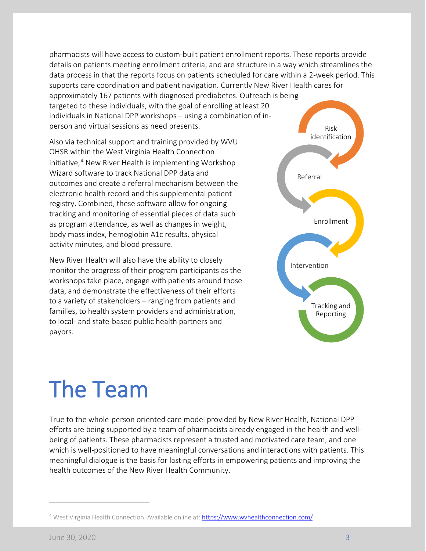pharmacists will have access to custom-built patient enrollment reports. These reports provide details on patients meeting enrollment criteria, and are structure in a way which streamlines the data process in that the reports focus on patients scheduled for care within a 2-week period. This supports care coordination and patient navigation. Currently New River Health cares for approximately 167 patients with diagnosed prediabetes. Outreach is being targeted to these individuals, with the goal of enrolling at least 20 individuals in National DPP workshops – using a combination of inperson and virtual sessions as need presents. Risk

Also via technical support and training provided by WVU OHSR within the West Virginia Health Connection initiative, $4$  New River Health is implementing Workshop Wizard software to track National DPP data and outcomes and create a referral mechanism between the electronic health record and this supplemental patient registry. Combined, these software allow for ongoing tracking and monitoring of essential pieces of data such as program attendance, as well as changes in weight, body mass index, hemoglobin A1c results, physical activity minutes, and blood pressure.

New River Health will also have the ability to closely monitor the progress of their program participants as the workshops take place, engage with patients around those data, and demonstrate the effectiveness of their efforts to a variety of stakeholders – ranging from patients and families, to health system providers and administration, to local- and state-based public health partners and payors.



# The Team

True to the whole-person oriented care model provided by New River Health, National DPP efforts are being supported by a team of pharmacists already engaged in the health and wellbeing of patients. These pharmacists represent a trusted and motivated care team, and one which is well-positioned to have meaningful conversations and interactions with patients. This meaningful dialogue is the basis for lasting efforts in empowering patients and improving the health outcomes of the New River Health Community.

<span id="page-2-0"></span><sup>&</sup>lt;sup>4</sup> West Virginia Health Connection. Available online at[: https://www.wvhealthconnection.com/](https://www.wvhealthconnection.com/)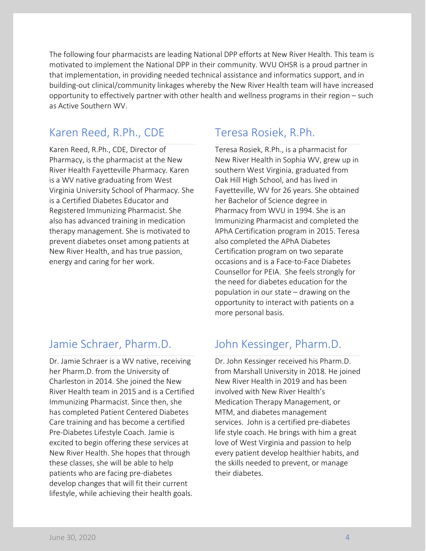The following four pharmacists are leading National DPP efforts at New River Health. This team is motivated to implement the National DPP in their community. WVU OHSR is a proud partner in that implementation, in providing needed technical assistance and informatics support, and in building-out clinical/community linkages whereby the New River Health team will have increased opportunity to effectively partner with other health and wellness programs in their region – such as Active Southern WV.

### Karen Reed, R.Ph., CDE Teresa Rosiek, R.Ph.

Karen Reed, R.Ph., CDE, Director of Pharmacy, is the pharmacist at the New River Health Fayetteville Pharmacy. Karen is a WV native graduating from West Virginia University School of Pharmacy. She is a Certified Diabetes Educator and Registered Immunizing Pharmacist. She also has advanced training in medication therapy management. She is motivated to prevent diabetes onset among patients at New River Health, and has true passion, energy and caring for her work.

Dr. Jamie Schraer is a WV native, receiving her Pharm.D. from the University of Charleston in 2014. She joined the New River Health team in 2015 and is a Certified Immunizing Pharmacist. Since then, she has completed Patient Centered Diabetes Care training and has become a certified Pre-Diabetes Lifestyle Coach. Jamie is excited to begin offering these services at New River Health. She hopes that through these classes, she will be able to help patients who are facing pre-diabetes develop changes that will fit their current lifestyle, while achieving their health goals.

Teresa Rosiek, R.Ph., is a pharmacist for New River Health in Sophia WV, grew up in southern West Virginia, graduated from Oak Hill High School, and has lived in Fayetteville, WV for 26 years. She obtained her Bachelor of Science degree in Pharmacy from WVU in 1994. She is an Immunizing Pharmacist and completed the APhA Certification program in 2015. Teresa also completed the APhA Diabetes Certification program on two separate occasions and is a Face-to-Face Diabetes Counsellor for PEIA. She feels strongly for the need for diabetes education for the population in our state – drawing on the opportunity to interact with patients on a more personal basis.

## Jamie Schraer, Pharm.D. John Kessinger, Pharm.D.

Dr. John Kessinger received his Pharm.D. from Marshall University in 2018. He joined New River Health in 2019 and has been involved with New River Health's Medication Therapy Management, or MTM, and diabetes management services. John is a certified pre-diabetes life style coach. He brings with him a great love of West Virginia and passion to help every patient develop healthier habits, and the skills needed to prevent, or manage their diabetes.